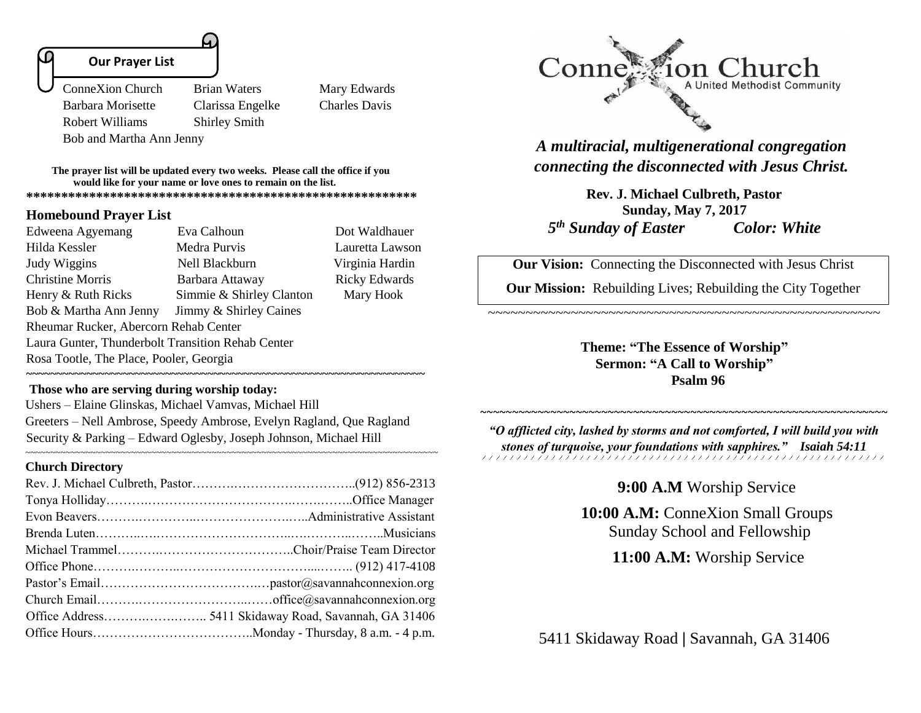#### **Our Prayer List**

Ï

 ConneXion Church Brian Waters Mary Edwards Barbara Morisette Clarissa Engelke Charles Davis Robert Williams Shirley Smith Bob and Martha Ann Jenny

**The prayer list will be updated every two weeks. Please call the office if you would like for your name or love ones to remain on the list. \*\*\*\*\*\*\*\*\*\*\*\*\*\*\*\*\*\*\*\*\*\*\*\*\*\*\*\*\*\*\*\*\*\*\*\*\*\*\*\*\*\*\*\*\*\*\*\*\*\*\*\*\*\*\*\***

#### **Homebound Prayer List**

| Edweena Agyemang                                  | Eva Calhoun              | Dot Waldhauer        |  |  |
|---------------------------------------------------|--------------------------|----------------------|--|--|
| Hilda Kessler                                     | Medra Purvis             | Lauretta Lawson      |  |  |
| Judy Wiggins                                      | Nell Blackburn           | Virginia Hardin      |  |  |
| <b>Christine Morris</b>                           | Barbara Attaway          | <b>Ricky Edwards</b> |  |  |
| Henry & Ruth Ricks                                | Simmie & Shirley Clanton | Mary Hook            |  |  |
| Bob & Martha Ann Jenny                            | Jimmy & Shirley Caines   |                      |  |  |
| Rheumar Rucker, Abercorn Rehab Center             |                          |                      |  |  |
| Laura Gunter, Thunderbolt Transition Rehab Center |                          |                      |  |  |
| Rosa Tootle, The Place, Pooler, Georgia           |                          |                      |  |  |
|                                                   |                          |                      |  |  |

#### **Those who are serving during worship today:**

Ushers – Elaine Glinskas, Michael Vamvas, Michael Hill Greeters – Nell Ambrose, Speedy Ambrose, Evelyn Ragland, Que Ragland Security & Parking – Edward Oglesby, Joseph Johnson, Michael Hill

~~~~~~~~~~~~~~~~~~~~~~~~~~~~~~~~~~~~~~~~~~~~~~~~~~~~~~~~~~~~~~~~~~~~~~~~~~~~~~~~~~

**~~~~~~~~~~~~~~~~~~~~~~~~~~~~~~~~~~~~~~~~~~~~~~~~~~~~~~~~~~~~~~~~~~**

#### **Church Directory**



*A multiracial, multigenerational congregation connecting the disconnected with Jesus Christ.*

**Rev. J. Michael Culbreth, Pastor Sunday, May 7, 2017**  *5 th Sunday of Easter Color: White*

**Our Vision:** Connecting the Disconnected with Jesus Christ

**Our Mission:** Rebuilding Lives; Rebuilding the City Together

~~~~~~~~~~~~~~~~~~~~~~~~~~~~~~~~~~~~~~~~~~~~~~~~~~~~

**Theme: "The Essence of Worship" Sermon: "A Call to Worship" Psalm 96**

*"O afflicted city, lashed by storms and not comforted, I will build you with stones of turquoise, your foundations with sapphires." Isaiah 54:11* 

## **9:00 A.M** Worship Service

~~~~~~~~~~~~~~~~~~~~~~~~~~~~~~~~~

**10:00 A.M:** ConneXion Small Groups Sunday School and Fellowship

 **11:00 A.M:** Worship Service

5411 Skidaway Road **|** Savannah, GA 31406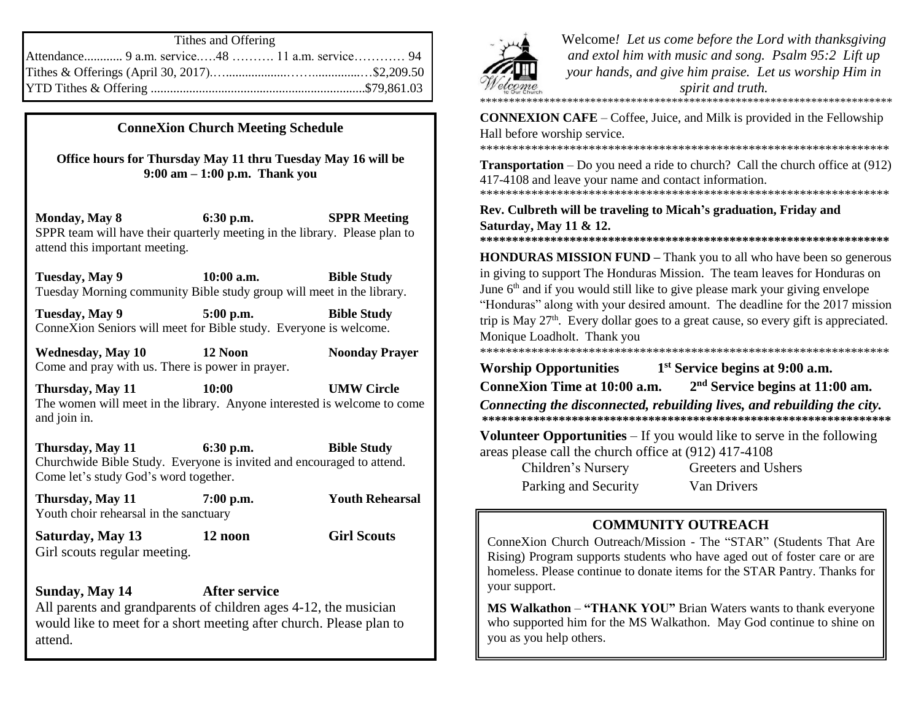| Tithes and Offering                             |  |  |
|-------------------------------------------------|--|--|
| Attendance 9 a.m. service48  11 a.m. service 94 |  |  |
|                                                 |  |  |
|                                                 |  |  |

## **ConneXion Church Meeting Schedule**

**Office hours for Thursday May 11 thru Tuesday May 16 will be 9:00 am – 1:00 p.m. Thank you**

**Monday, May 8 6:30 p.m. SPPR Meeting** SPPR team will have their quarterly meeting in the library. Please plan to attend this important meeting.

**Tuesday, May 9 10:00 a.m. Bible Study** Tuesday Morning community Bible study group will meet in the library.

**Tuesday, May 9 5:00 p.m. Bible Study** ConneXion Seniors will meet for Bible study. Everyone is welcome.

**Wednesday, May 10 12 Noon Noonday Prayer** Come and pray with us. There is power in prayer.

**Thursday, May 11 10:00 UMW Circle**  The women will meet in the library. Anyone interested is welcome to come and join in.

**Thursday, May 11 6:30 p.m. Bible Study** Churchwide Bible Study. Everyone is invited and encouraged to attend. Come let's study God's word together.

**Thursday, May 11 7:00 p.m. Youth Rehearsal** Youth choir rehearsal in the sanctuary

**Saturday, May 13 12 noon Girl Scouts** Girl scouts regular meeting.

**Sunday, May 14 After service** All parents and grandparents of children ages 4-12, the musician would like to meet for a short meeting after church. Please plan to attend.



Welcome*! Let us come before the Lord with thanksgiving and extol him with music and song. Psalm 95:2 Lift up your hands, and give him praise. Let us worship Him in spirit and truth.*  \*\*\*\*\*\*\*\*\*\*\*\*\*\*\*\*\*\*\*\*\*\*\*\*\*\*\*\*\*\*\*\*\*\*\*\*\*\*\*\*\*\*\*\*\*\*\*\*\*\*\*\*\*\*\*\*\*\*\*\*\*\*\*\*\*\*\*\*\*\*\*

**CONNEXION CAFE** – Coffee, Juice, and Milk is provided in the Fellowship Hall before worship service.

\*\*\*\*\*\*\*\*\*\*\*\*\*\*\*\*\*\*\*\*\*\*\*\*\*\*\*\*\*\*\*\*\*\*\*\*\*\*\*\*\*\*\*\*\*\*\*\*\*\*\*\*\*\*\*\*\*\*\*\*\*\*\*\*

**Transportation** – Do you need a ride to church? Call the church office at (912) 417-4108 and leave your name and contact information. \*\*\*\*\*\*\*\*\*\*\*\*\*\*\*\*\*\*\*\*\*\*\*\*\*\*\*\*\*\*\*\*\*\*\*\*\*\*\*\*\*\*\*\*\*\*\*\*\*\*\*\*\*\*\*\*\*\*\*\*\*\*\*\*

**Rev. Culbreth will be traveling to Micah's graduation, Friday and Saturday, May 11 & 12.** 

**HONDURAS MISSION FUND –** Thank you to all who have been so generous in giving to support The Honduras Mission. The team leaves for Honduras on June  $6<sup>th</sup>$  and if you would still like to give please mark your giving envelope "Honduras" along with your desired amount. The deadline for the 2017 mission trip is May  $27<sup>th</sup>$ . Every dollar goes to a great cause, so every gift is appreciated. Monique Loadholt. Thank you \*\*\*\*\*\*\*\*\*\*\*\*\*\*\*\*\*\*\*\*\*\*\*\*\*\*\*\*\*\*\*\*\*\*\*\*\*\*\*\*\*\*\*\*\*\*\*\*\*\*\*\*\*\*\*\*\*\*\*\*\*\*\*\*

**\*\*\*\*\*\*\*\*\*\*\*\*\*\*\*\*\*\*\*\*\*\*\*\*\*\*\*\*\*\*\*\*\*\*\*\*\*\*\*\*\*\*\*\*\*\*\*\*\*\*\*\*\*\*\*\*\*\*\*\*\*\*\*\***

**Worship Opportunities 1 st Service begins at 9:00 a.m. ConneXion Time at 10:00 a.m. 2 nd Service begins at 11:00 am.**

*Connecting the disconnected, rebuilding lives, and rebuilding the city.* **\*\*\*\*\*\*\*\*\*\*\*\*\*\*\*\*\*\*\*\*\*\*\*\*\*\*\*\*\*\*\*\*\*\*\*\*\*\*\*\*\*\*\*\*\*\*\*\*\*\*\*\*\*\*\*\*\*\*\*\*\*\*\*\***

**Volunteer Opportunities** – If you would like to serve in the following areas please call the church office at (912) 417-4108

Parking and Security Van Drivers

Children's Nursery Greeters and Ushers

# **COMMUNITY OUTREACH**

ConneXion Church Outreach/Mission - The "STAR" (Students That Are Rising) Program supports students who have aged out of foster care or are homeless. Please continue to donate items for the STAR Pantry. Thanks for your support.

**MS Walkathon** – **"THANK YOU"** Brian Waters wants to thank everyone who supported him for the MS Walkathon. May God continue to shine on you as you help others.